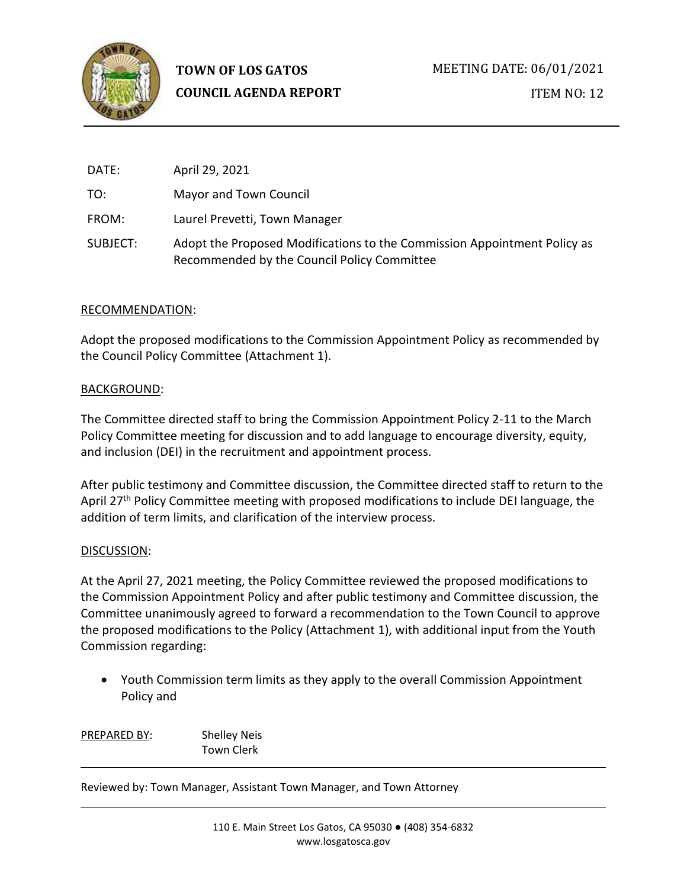

| DATE:    | April 29, 2021                                                                                                          |
|----------|-------------------------------------------------------------------------------------------------------------------------|
| TO:      | Mayor and Town Council                                                                                                  |
| FROM:    | Laurel Prevetti, Town Manager                                                                                           |
| SUBJECT: | Adopt the Proposed Modifications to the Commission Appointment Policy as<br>Recommended by the Council Policy Committee |

#### RECOMMENDATION:

Adopt the proposed modifications to the Commission Appointment Policy as recommended by the Council Policy Committee (Attachment 1).

#### BACKGROUND:

The Committee directed staff to bring the Commission Appointment Policy 2-11 to the March Policy Committee meeting for discussion and to add language to encourage diversity, equity, and inclusion (DEI) in the recruitment and appointment process.

After public testimony and Committee discussion, the Committee directed staff to return to the April 27<sup>th</sup> Policy Committee meeting with proposed modifications to include DEI language, the addition of term limits, and clarification of the interview process.

### DISCUSSION:

At the April 27, 2021 meeting, the Policy Committee reviewed the proposed modifications to the Commission Appointment Policy and after public testimony and Committee discussion, the Committee unanimously agreed to forward a recommendation to the Town Council to approve the proposed modifications to the Policy (Attachment 1), with additional input from the Youth Commission regarding:

• Youth Commission term limits as they apply to the overall Commission Appointment Policy and

PREPARED BY: Shelley Neis Town Clerk

Reviewed by: Town Manager, Assistant Town Manager, and Town Attorney